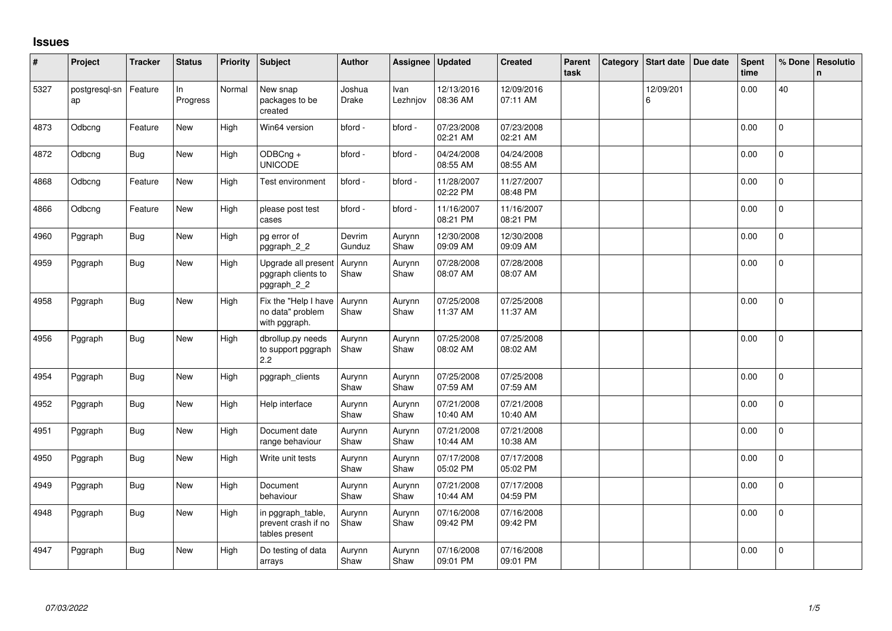## **Issues**

| #    | Project             | <b>Tracker</b> | <b>Status</b>   | <b>Priority</b> | Subject                                                    | <b>Author</b>    | Assignee                | <b>Updated</b>         | <b>Created</b>         | Parent<br>task | Category | <b>Start date</b> | Due date | Spent<br>time | % Done         | Resolutio<br>n |
|------|---------------------|----------------|-----------------|-----------------|------------------------------------------------------------|------------------|-------------------------|------------------------|------------------------|----------------|----------|-------------------|----------|---------------|----------------|----------------|
| 5327 | postgresql-sn<br>ap | Feature        | ln.<br>Progress | Normal          | New snap<br>packages to be<br>created                      | Joshua<br>Drake  | <b>Ivan</b><br>Lezhnjov | 12/13/2016<br>08:36 AM | 12/09/2016<br>07:11 AM |                |          | 12/09/201<br>6    |          | 0.00          | 40             |                |
| 4873 | Odbcng              | Feature        | <b>New</b>      | High            | Win64 version                                              | bford -          | bford -                 | 07/23/2008<br>02:21 AM | 07/23/2008<br>02:21 AM |                |          |                   |          | 0.00          | $\mathbf{0}$   |                |
| 4872 | Odbcng              | <b>Bug</b>     | New             | High            | ODBCng +<br><b>UNICODE</b>                                 | bford -          | bford -                 | 04/24/2008<br>08:55 AM | 04/24/2008<br>08:55 AM |                |          |                   |          | 0.00          | $\mathbf 0$    |                |
| 4868 | Odbcng              | Feature        | New             | High            | Test environment                                           | bford -          | bford -                 | 11/28/2007<br>02:22 PM | 11/27/2007<br>08:48 PM |                |          |                   |          | 0.00          | $\mathbf{0}$   |                |
| 4866 | Odbcng              | Feature        | New             | High            | please post test<br>cases                                  | bford -          | bford -                 | 11/16/2007<br>08:21 PM | 11/16/2007<br>08:21 PM |                |          |                   |          | 0.00          | $\mathbf 0$    |                |
| 4960 | Pggraph             | <b>Bug</b>     | New             | High            | pg error of<br>pggraph_2_2                                 | Devrim<br>Gunduz | Aurynn<br>Shaw          | 12/30/2008<br>09:09 AM | 12/30/2008<br>09:09 AM |                |          |                   |          | 0.00          | 0 <sub>1</sub> |                |
| 4959 | Pggraph             | <b>Bug</b>     | <b>New</b>      | High            | Upgrade all present<br>pggraph clients to<br>pggraph_2_2   | Aurynn<br>Shaw   | Aurynn<br>Shaw          | 07/28/2008<br>08:07 AM | 07/28/2008<br>08:07 AM |                |          |                   |          | 0.00          | $\mathbf 0$    |                |
| 4958 | Pggraph             | <b>Bug</b>     | <b>New</b>      | High            | Fix the "Help I have<br>no data" problem<br>with pggraph.  | Aurynn<br>Shaw   | Aurynn<br>Shaw          | 07/25/2008<br>11:37 AM | 07/25/2008<br>11:37 AM |                |          |                   |          | 0.00          | $\Omega$       |                |
| 4956 | Pggraph             | Bug            | New             | High            | dbrollup.py needs<br>to support pggraph<br>2.2             | Aurynn<br>Shaw   | Aurynn<br>Shaw          | 07/25/2008<br>08:02 AM | 07/25/2008<br>08:02 AM |                |          |                   |          | 0.00          | $\mathbf{0}$   |                |
| 4954 | Pggraph             | <b>Bug</b>     | <b>New</b>      | High            | pggraph_clients                                            | Aurynn<br>Shaw   | Aurynn<br>Shaw          | 07/25/2008<br>07:59 AM | 07/25/2008<br>07:59 AM |                |          |                   |          | 0.00          | $\Omega$       |                |
| 4952 | Pggraph             | <b>Bug</b>     | New             | High            | Help interface                                             | Aurynn<br>Shaw   | Aurynn<br>Shaw          | 07/21/2008<br>10:40 AM | 07/21/2008<br>10:40 AM |                |          |                   |          | 0.00          | 0              |                |
| 4951 | Pggraph             | Bug            | New             | High            | Document date<br>range behaviour                           | Aurynn<br>Shaw   | Aurynn<br>Shaw          | 07/21/2008<br>10:44 AM | 07/21/2008<br>10:38 AM |                |          |                   |          | 0.00          | $\Omega$       |                |
| 4950 | Pggraph             | <b>Bug</b>     | New             | High            | Write unit tests                                           | Aurynn<br>Shaw   | Aurynn<br>Shaw          | 07/17/2008<br>05:02 PM | 07/17/2008<br>05:02 PM |                |          |                   |          | 0.00          | $\mathbf{0}$   |                |
| 4949 | Pggraph             | <b>Bug</b>     | New             | High            | Document<br>behaviour                                      | Aurynn<br>Shaw   | Aurynn<br>Shaw          | 07/21/2008<br>10:44 AM | 07/17/2008<br>04:59 PM |                |          |                   |          | 0.00          | $\Omega$       |                |
| 4948 | Pggraph             | <b>Bug</b>     | <b>New</b>      | High            | in pggraph_table,<br>prevent crash if no<br>tables present | Aurynn<br>Shaw   | Aurynn<br>Shaw          | 07/16/2008<br>09:42 PM | 07/16/2008<br>09:42 PM |                |          |                   |          | 0.00          | $\mathbf 0$    |                |
| 4947 | Pggraph             | <b>Bug</b>     | New             | High            | Do testing of data<br>arrays                               | Aurynn<br>Shaw   | Aurynn<br>Shaw          | 07/16/2008<br>09:01 PM | 07/16/2008<br>09:01 PM |                |          |                   |          | 0.00          | $\mathbf 0$    |                |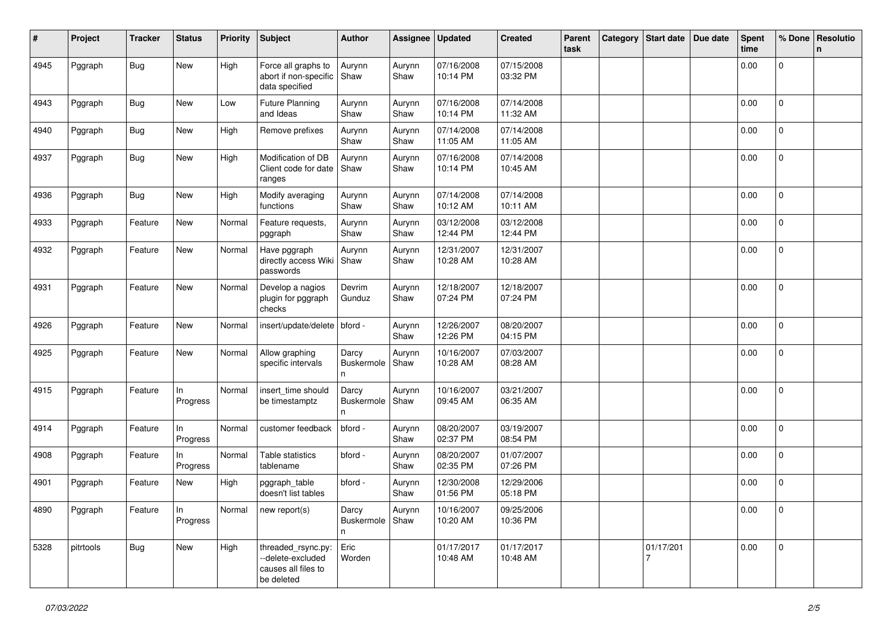| #    | Project   | Tracker    | <b>Status</b>  | <b>Priority</b> | <b>Subject</b>                                                               | <b>Author</b>                 | Assignee       | <b>Updated</b>         | <b>Created</b>         | Parent<br>task | Category | <b>Start date</b> | Due date | <b>Spent</b><br>time | % Done      | Resolutio<br>$\mathbf n$ |
|------|-----------|------------|----------------|-----------------|------------------------------------------------------------------------------|-------------------------------|----------------|------------------------|------------------------|----------------|----------|-------------------|----------|----------------------|-------------|--------------------------|
| 4945 | Pggraph   | <b>Bug</b> | New            | High            | Force all graphs to<br>abort if non-specific<br>data specified               | Aurynn<br>Shaw                | Aurynn<br>Shaw | 07/16/2008<br>10:14 PM | 07/15/2008<br>03:32 PM |                |          |                   |          | 0.00                 | 0           |                          |
| 4943 | Pggraph   | <b>Bug</b> | New            | Low             | <b>Future Planning</b><br>and Ideas                                          | Aurynn<br>Shaw                | Aurynn<br>Shaw | 07/16/2008<br>10:14 PM | 07/14/2008<br>11:32 AM |                |          |                   |          | 0.00                 | $\mathbf 0$ |                          |
| 4940 | Pggraph   | Bug        | New            | High            | Remove prefixes                                                              | Aurynn<br>Shaw                | Aurynn<br>Shaw | 07/14/2008<br>11:05 AM | 07/14/2008<br>11:05 AM |                |          |                   |          | 0.00                 | $\mathbf 0$ |                          |
| 4937 | Pggraph   | <b>Bug</b> | New            | High            | Modification of DB<br>Client code for date<br>ranges                         | Aurynn<br>Shaw                | Aurynn<br>Shaw | 07/16/2008<br>10:14 PM | 07/14/2008<br>10:45 AM |                |          |                   |          | 0.00                 | 0           |                          |
| 4936 | Pggraph   | <b>Bug</b> | New            | High            | Modify averaging<br>functions                                                | Aurynn<br>Shaw                | Aurynn<br>Shaw | 07/14/2008<br>10:12 AM | 07/14/2008<br>10:11 AM |                |          |                   |          | 0.00                 | 0           |                          |
| 4933 | Pggraph   | Feature    | New            | Normal          | Feature requests,<br>pggraph                                                 | Aurynn<br>Shaw                | Aurynn<br>Shaw | 03/12/2008<br>12:44 PM | 03/12/2008<br>12:44 PM |                |          |                   |          | 0.00                 | 0           |                          |
| 4932 | Pggraph   | Feature    | New            | Normal          | Have pggraph<br>directly access Wiki<br>passwords                            | Aurynn<br>Shaw                | Aurynn<br>Shaw | 12/31/2007<br>10:28 AM | 12/31/2007<br>10:28 AM |                |          |                   |          | 0.00                 | 0           |                          |
| 4931 | Pggraph   | Feature    | New            | Normal          | Develop a nagios<br>plugin for pggraph<br>checks                             | Devrim<br>Gunduz              | Aurynn<br>Shaw | 12/18/2007<br>07:24 PM | 12/18/2007<br>07:24 PM |                |          |                   |          | 0.00                 | 0           |                          |
| 4926 | Pggraph   | Feature    | New            | Normal          | insert/update/delete   bford -                                               |                               | Aurynn<br>Shaw | 12/26/2007<br>12:26 PM | 08/20/2007<br>04:15 PM |                |          |                   |          | 0.00                 | $\mathbf 0$ |                          |
| 4925 | Pggraph   | Feature    | New            | Normal          | Allow graphing<br>specific intervals                                         | Darcy<br>Buskermole<br>n      | Aurynn<br>Shaw | 10/16/2007<br>10:28 AM | 07/03/2007<br>08:28 AM |                |          |                   |          | 0.00                 | $\mathbf 0$ |                          |
| 4915 | Pggraph   | Feature    | In<br>Progress | Normal          | insert_time should<br>be timestamptz                                         | Darcy<br>Buskermole<br>n      | Aurynn<br>Shaw | 10/16/2007<br>09:45 AM | 03/21/2007<br>06:35 AM |                |          |                   |          | 0.00                 | $\mathbf 0$ |                          |
| 4914 | Pggraph   | Feature    | In<br>Progress | Normal          | customer feedback                                                            | bford -                       | Aurynn<br>Shaw | 08/20/2007<br>02:37 PM | 03/19/2007<br>08:54 PM |                |          |                   |          | 0.00                 | $\mathbf 0$ |                          |
| 4908 | Pggraph   | Feature    | In<br>Progress | Normal          | Table statistics<br>tablename                                                | bford -                       | Aurynn<br>Shaw | 08/20/2007<br>02:35 PM | 01/07/2007<br>07:26 PM |                |          |                   |          | 0.00                 | 0           |                          |
| 4901 | Pggraph   | Feature    | New            | High            | pggraph_table<br>doesn't list tables                                         | bford -                       | Aurynn<br>Shaw | 12/30/2008<br>01:56 PM | 12/29/2006<br>05:18 PM |                |          |                   |          | 0.00                 | 0           |                          |
| 4890 | Pggraph   | Feature    | In<br>Progress | Normal          | new report(s)                                                                | Darcy<br>Buskermole Shaw<br>n | Aurynn         | 10/16/2007<br>10:20 AM | 09/25/2006<br>10:36 PM |                |          |                   |          | 0.00                 | 0           |                          |
| 5328 | pitrtools | <b>Bug</b> | New            | High            | threaded_rsync.py:<br>--delete-excluded<br>causes all files to<br>be deleted | Eric<br>Worden                |                | 01/17/2017<br>10:48 AM | 01/17/2017<br>10:48 AM |                |          | 01/17/201<br>7    |          | 0.00                 | $\mathsf 0$ |                          |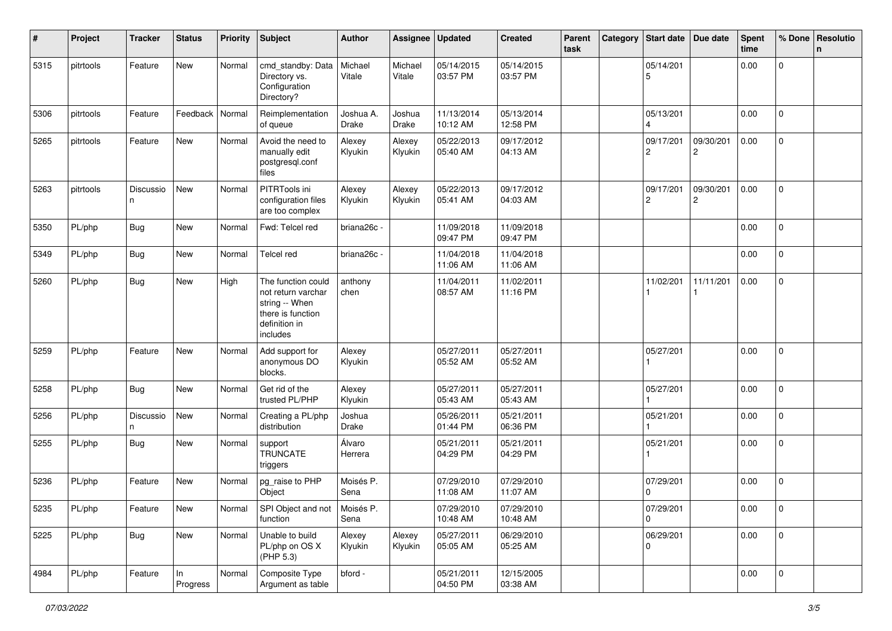| #    | Project   | <b>Tracker</b> | <b>Status</b>     | <b>Priority</b> | <b>Subject</b>                                                                                               | <b>Author</b>          | Assignee          | <b>Updated</b>         | <b>Created</b>         | Parent<br>task | Category   Start date       | Due date       | <b>Spent</b><br>time | % Done              | <b>Resolutio</b><br>$\mathsf{n}$ |
|------|-----------|----------------|-------------------|-----------------|--------------------------------------------------------------------------------------------------------------|------------------------|-------------------|------------------------|------------------------|----------------|-----------------------------|----------------|----------------------|---------------------|----------------------------------|
| 5315 | pitrtools | Feature        | New               | Normal          | cmd_standby: Data<br>Directory vs.<br>Configuration<br>Directory?                                            | Michael<br>Vitale      | Michael<br>Vitale | 05/14/2015<br>03:57 PM | 05/14/2015<br>03:57 PM |                | 05/14/201<br>5              |                | 0.00                 | $\mathbf 0$         |                                  |
| 5306 | pitrtools | Feature        | Feedback   Normal |                 | Reimplementation<br>of queue                                                                                 | Joshua A.<br>Drake     | Joshua<br>Drake   | 11/13/2014<br>10:12 AM | 05/13/2014<br>12:58 PM |                | 05/13/201                   |                | 0.00                 | $\mathbf 0$         |                                  |
| 5265 | pitrtools | Feature        | New               | Normal          | Avoid the need to<br>manually edit<br>postgresql.conf<br>files                                               | Alexey<br>Klyukin      | Alexey<br>Klyukin | 05/22/2013<br>05:40 AM | 09/17/2012<br>04:13 AM |                | 09/17/201<br>$\overline{c}$ | 09/30/201<br>2 | 0.00                 | $\overline{0}$      |                                  |
| 5263 | pitrtools | Discussio<br>n | New               | Normal          | PITRTools ini<br>configuration files<br>are too complex                                                      | Alexey<br>Klyukin      | Alexey<br>Klyukin | 05/22/2013<br>05:41 AM | 09/17/2012<br>04:03 AM |                | 09/17/201<br>$\overline{c}$ | 09/30/201<br>2 | 0.00                 | $\mathbf{0}$        |                                  |
| 5350 | PL/php    | <b>Bug</b>     | New               | Normal          | Fwd: Telcel red                                                                                              | briana26c -            |                   | 11/09/2018<br>09:47 PM | 11/09/2018<br>09:47 PM |                |                             |                | 0.00                 | $\mathbf 0$         |                                  |
| 5349 | PL/php    | <b>Bug</b>     | New               | Normal          | <b>Telcel red</b>                                                                                            | briana26c -            |                   | 11/04/2018<br>11:06 AM | 11/04/2018<br>11:06 AM |                |                             |                | 0.00                 | $\mathbf 0$         |                                  |
| 5260 | PL/php    | Bug            | New               | High            | The function could<br>not return varchar<br>string -- When<br>there is function<br>definition in<br>includes | anthony<br>chen        |                   | 11/04/2011<br>08:57 AM | 11/02/2011<br>11:16 PM |                | 11/02/201                   | 11/11/201      | 0.00                 | $\mathsf{O}\xspace$ |                                  |
| 5259 | PL/php    | Feature        | New               | Normal          | Add support for<br>anonymous DO<br>blocks.                                                                   | Alexey<br>Klyukin      |                   | 05/27/2011<br>05:52 AM | 05/27/2011<br>05:52 AM |                | 05/27/201                   |                | 0.00                 | $\mathbf 0$         |                                  |
| 5258 | PL/php    | <b>Bug</b>     | New               | Normal          | Get rid of the<br>trusted PL/PHP                                                                             | Alexey<br>Klyukin      |                   | 05/27/2011<br>05:43 AM | 05/27/2011<br>05:43 AM |                | 05/27/201                   |                | 0.00                 | $\mathbf 0$         |                                  |
| 5256 | PL/php    | Discussio<br>n | New               | Normal          | Creating a PL/php<br>distribution                                                                            | Joshua<br><b>Drake</b> |                   | 05/26/2011<br>01:44 PM | 05/21/2011<br>06:36 PM |                | 05/21/201                   |                | 0.00                 | $\mathbf 0$         |                                  |
| 5255 | PL/php    | <b>Bug</b>     | New               | Normal          | support<br><b>TRUNCATE</b><br>triggers                                                                       | Álvaro<br>Herrera      |                   | 05/21/2011<br>04:29 PM | 05/21/2011<br>04:29 PM |                | 05/21/201                   |                | 0.00                 | $\mathbf 0$         |                                  |
| 5236 | PL/php    | Feature        | New               | Normal          | pg_raise to PHP<br>Object                                                                                    | Moisés P.<br>Sena      |                   | 07/29/2010<br>11:08 AM | 07/29/2010<br>11:07 AM |                | 07/29/201<br>0              |                | 0.00                 | $\mathbf 0$         |                                  |
| 5235 | PL/php    | Feature        | New               | Normal          | SPI Object and not<br>function                                                                               | Moisés P.<br>Sena      |                   | 07/29/2010<br>10:48 AM | 07/29/2010<br>10:48 AM |                | 07/29/201<br>0              |                | 0.00                 | 0                   |                                  |
| 5225 | PL/php    | Bug            | New               | Normal          | Unable to build<br>PL/php on OS X<br>(PHP 5.3)                                                               | Alexey<br>Klyukin      | Alexey<br>Klyukin | 05/27/2011<br>05:05 AM | 06/29/2010<br>05:25 AM |                | 06/29/201<br>$\mathbf 0$    |                | 0.00                 | $\overline{0}$      |                                  |
| 4984 | PL/php    | Feature        | In.<br>Progress   | Normal          | Composite Type<br>Argument as table                                                                          | bford -                |                   | 05/21/2011<br>04:50 PM | 12/15/2005<br>03:38 AM |                |                             |                | 0.00                 | $\overline{0}$      |                                  |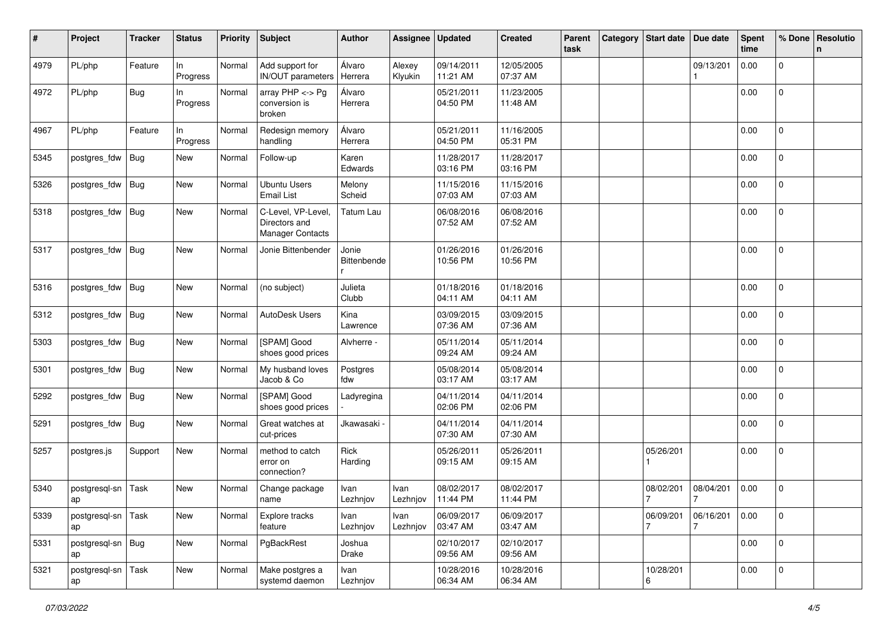| #    | Project             | <b>Tracker</b> | <b>Status</b>  | <b>Priority</b> | <b>Subject</b>                                                 | Author                 | Assignee          | <b>Updated</b>         | <b>Created</b>         | Parent<br>task | Category | <b>Start date</b> | Due date       | <b>Spent</b><br>time | % Done       | Resolutio<br>n |
|------|---------------------|----------------|----------------|-----------------|----------------------------------------------------------------|------------------------|-------------------|------------------------|------------------------|----------------|----------|-------------------|----------------|----------------------|--------------|----------------|
| 4979 | PL/php              | Feature        | In<br>Progress | Normal          | Add support for<br>IN/OUT parameters                           | Álvaro<br>Herrera      | Alexey<br>Klyukin | 09/14/2011<br>11:21 AM | 12/05/2005<br>07:37 AM |                |          |                   | 09/13/201      | 0.00                 | 0            |                |
| 4972 | PL/php              | Bug            | In<br>Progress | Normal          | array $PHP \lt\gt P$ g<br>conversion is<br>broken              | Álvaro<br>Herrera      |                   | 05/21/2011<br>04:50 PM | 11/23/2005<br>11:48 AM |                |          |                   |                | 0.00                 | $\mathbf 0$  |                |
| 4967 | PL/php              | Feature        | In<br>Progress | Normal          | Redesign memory<br>handling                                    | Álvaro<br>Herrera      |                   | 05/21/2011<br>04:50 PM | 11/16/2005<br>05:31 PM |                |          |                   |                | 0.00                 | $\mathbf 0$  |                |
| 5345 | postgres_fdw        | Bug            | New            | Normal          | Follow-up                                                      | Karen<br>Edwards       |                   | 11/28/2017<br>03:16 PM | 11/28/2017<br>03:16 PM |                |          |                   |                | 0.00                 | 0            |                |
| 5326 | postgres_fdw        | Bug            | New            | Normal          | <b>Ubuntu Users</b><br><b>Email List</b>                       | Melony<br>Scheid       |                   | 11/15/2016<br>07:03 AM | 11/15/2016<br>07:03 AM |                |          |                   |                | 0.00                 | 0            |                |
| 5318 | postgres_fdw        | <b>Bug</b>     | New            | Normal          | C-Level, VP-Level,<br>Directors and<br><b>Manager Contacts</b> | <b>Tatum Lau</b>       |                   | 06/08/2016<br>07:52 AM | 06/08/2016<br>07:52 AM |                |          |                   |                | 0.00                 | $\mathbf 0$  |                |
| 5317 | postgres_fdw        | Bug            | New            | Normal          | Jonie Bittenbender                                             | Jonie<br>Bittenbende   |                   | 01/26/2016<br>10:56 PM | 01/26/2016<br>10:56 PM |                |          |                   |                | 0.00                 | 0            |                |
| 5316 | postgres_fdw        | <b>Bug</b>     | New            | Normal          | (no subject)                                                   | Julieta<br>Clubb       |                   | 01/18/2016<br>04:11 AM | 01/18/2016<br>04:11 AM |                |          |                   |                | 0.00                 | 0            |                |
| 5312 | postgres_fdw        | Bug            | New            | Normal          | AutoDesk Users                                                 | Kina<br>Lawrence       |                   | 03/09/2015<br>07:36 AM | 03/09/2015<br>07:36 AM |                |          |                   |                | 0.00                 | $\mathbf 0$  |                |
| 5303 | postgres_fdw        | Bug            | New            | Normal          | [SPAM] Good<br>shoes good prices                               | Alvherre -             |                   | 05/11/2014<br>09:24 AM | 05/11/2014<br>09:24 AM |                |          |                   |                | 0.00                 | 0            |                |
| 5301 | postgres_fdw        | <b>Bug</b>     | New            | Normal          | My husband loves<br>Jacob & Co                                 | Postgres<br>fdw        |                   | 05/08/2014<br>03:17 AM | 05/08/2014<br>03:17 AM |                |          |                   |                | 0.00                 | 0            |                |
| 5292 | postgres_fdw        | Bug            | New            | Normal          | [SPAM] Good<br>shoes good prices                               | Ladyregina             |                   | 04/11/2014<br>02:06 PM | 04/11/2014<br>02:06 PM |                |          |                   |                | 0.00                 | 0            |                |
| 5291 | postgres_fdw        | <b>Bug</b>     | New            | Normal          | Great watches at<br>cut-prices                                 | Jkawasaki <sub>`</sub> |                   | 04/11/2014<br>07:30 AM | 04/11/2014<br>07:30 AM |                |          |                   |                | 0.00                 | $\mathbf{0}$ |                |
| 5257 | postgres.js         | Support        | New            | Normal          | method to catch<br>error on<br>connection?                     | Rick<br>Harding        |                   | 05/26/2011<br>09:15 AM | 05/26/2011<br>09:15 AM |                |          | 05/26/201         |                | 0.00                 | 0            |                |
| 5340 | postgresql-sn<br>ap | Task           | New            | Normal          | Change package<br>name                                         | lvan<br>Lezhnjov       | Ivan<br>Lezhnjov  | 08/02/2017<br>11:44 PM | 08/02/2017<br>11:44 PM |                |          | 08/02/201<br>7    | 08/04/201<br>7 | 0.00                 | 0            |                |
| 5339 | postgresql-sn<br>ap | Task           | New            | Normal          | Explore tracks<br>feature                                      | Ivan<br>Lezhnjov       | Ivan<br>Lezhnjov  | 06/09/2017<br>03:47 AM | 06/09/2017<br>03:47 AM |                |          | 06/09/201         | 06/16/201      | 0.00                 | $\mathbf 0$  |                |
| 5331 | postgresql-sn<br>ap | Bug            | New            | Normal          | PgBackRest                                                     | Joshua<br>Drake        |                   | 02/10/2017<br>09:56 AM | 02/10/2017<br>09:56 AM |                |          |                   |                | 0.00                 | $\mathbf 0$  |                |
| 5321 | postgresql-sn<br>аp | Task           | New            | Normal          | Make postgres a<br>systemd daemon                              | Ivan<br>Lezhnjov       |                   | 10/28/2016<br>06:34 AM | 10/28/2016<br>06:34 AM |                |          | 10/28/201<br>6    |                | 0.00                 | $\mathbf 0$  |                |